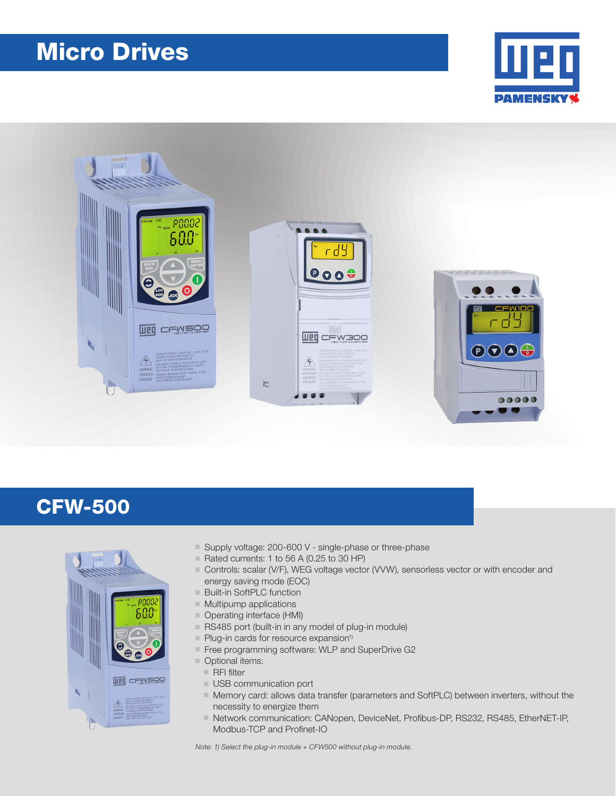# Micro Drives





## CFW-500



- Supply voltage: 200-600 V single-phase or three-phase
- Rated currents: 1 to 56 A (0.25 to 30 HP)
- Controls: scalar (V/F), WEG voltage vector (VVW), sensorless vector or with encoder and energy saving mode (EOC)
- Built-in SoftPLC function
- $\blacksquare$  Multipump applications
- Operating interface (HMI)
- RS485 port (built-in in any model of plug-in module)
- $\blacksquare$  Plug-in cards for resource expansion<sup>1)</sup>
- Free programming software: WLP and SuperDrive G2
- Optional items:
	- $R$  RFI filter
	- USB communication port
	- $\blacksquare$  Memory card: allows data transfer (parameters and SoftPLC) between inverters, without the necessity to energize them
	- Network communication: CANopen, DeviceNet, Profibus-DP, RS232, RS485, EtherNET-IP, Modbus-TCP and Profinet-IO

Note: 1) Select the plug-in module + CFW500 without plug-in module.